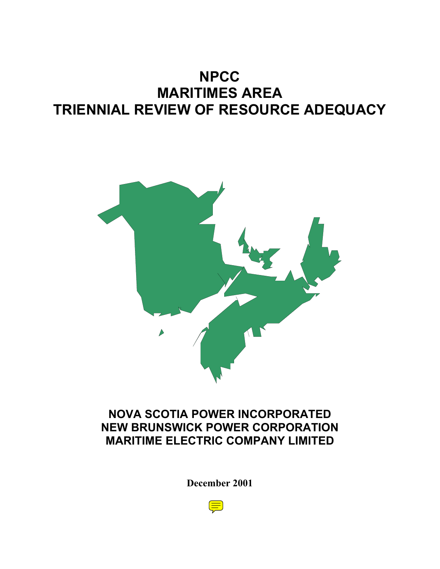# **NPCC MARITIMES AREA TRIENNIAL REVIEW OF RESOURCE ADEQUACY**



## **NOVA SCOTIA POWER INCORPORATED NEW BRUNSWICK POWER CORPORATION MARITIME ELECTRIC COMPANY LIMITED**

**December 2001**

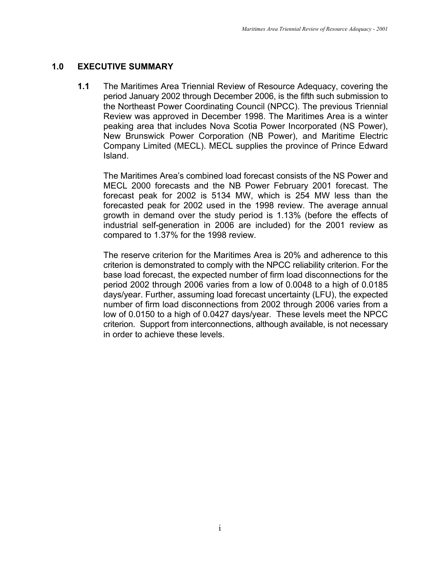## **1.0 EXECUTIVE SUMMARY**

**1.1** The Maritimes Area Triennial Review of Resource Adequacy, covering the period January 2002 through December 2006, is the fifth such submission to the Northeast Power Coordinating Council (NPCC). The previous Triennial Review was approved in December 1998. The Maritimes Area is a winter peaking area that includes Nova Scotia Power Incorporated (NS Power), New Brunswick Power Corporation (NB Power), and Maritime Electric Company Limited (MECL). MECL supplies the province of Prince Edward Island.

The Maritimes Area's combined load forecast consists of the NS Power and MECL 2000 forecasts and the NB Power February 2001 forecast. The forecast peak for 2002 is 5134 MW, which is 254 MW less than the forecasted peak for 2002 used in the 1998 review. The average annual growth in demand over the study period is 1.13% (before the effects of industrial self-generation in 2006 are included) for the 2001 review as compared to 1.37% for the 1998 review.

The reserve criterion for the Maritimes Area is 20% and adherence to this criterion is demonstrated to comply with the NPCC reliability criterion. For the base load forecast, the expected number of firm load disconnections for the period 2002 through 2006 varies from a low of 0.0048 to a high of 0.0185 days/year. Further, assuming load forecast uncertainty (LFU), the expected number of firm load disconnections from 2002 through 2006 varies from a low of 0.0150 to a high of 0.0427 days/year. These levels meet the NPCC criterion. Support from interconnections, although available, is not necessary in order to achieve these levels.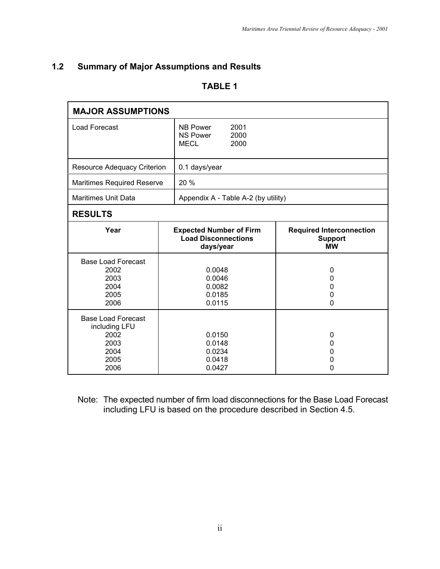## **1.2 Summary of Major Assumptions and Results**

## **TABLE 1**

| <b>MAJOR ASSUMPTIONS</b>                                                           |  |                                                                           |                                                                |
|------------------------------------------------------------------------------------|--|---------------------------------------------------------------------------|----------------------------------------------------------------|
| <b>Load Forecast</b>                                                               |  | <b>NB Power</b><br>2001<br>2000<br><b>NS Power</b><br><b>MECL</b><br>2000 |                                                                |
| Resource Adequacy Criterion                                                        |  | 0.1 days/year                                                             |                                                                |
| <b>Maritimes Required Reserve</b>                                                  |  | 20 %                                                                      |                                                                |
| <b>Maritimes Unit Data</b>                                                         |  | Appendix A - Table A-2 (by utility)                                       |                                                                |
| <b>RESULTS</b>                                                                     |  |                                                                           |                                                                |
| Year                                                                               |  | <b>Expected Number of Firm</b><br><b>Load Disconnections</b><br>days/year | <b>Required Interconnection</b><br><b>Support</b><br><b>MW</b> |
| <b>Base Load Forecast</b><br>2002<br>2003<br>2004<br>2005<br>2006                  |  | 0.0048<br>0.0046<br>0.0082<br>0.0185<br>0.0115                            | 0<br>0<br>0<br>0<br>0                                          |
| <b>Base Load Forecast</b><br>including LFU<br>2002<br>2003<br>2004<br>2005<br>2006 |  | 0.0150<br>0.0148<br>0.0234<br>0.0418<br>0.0427                            | 0<br>0<br>0<br>0<br>0                                          |

Note: The expected number of firm load disconnections for the Base Load Forecast including LFU is based on the procedure described in Section 4.5.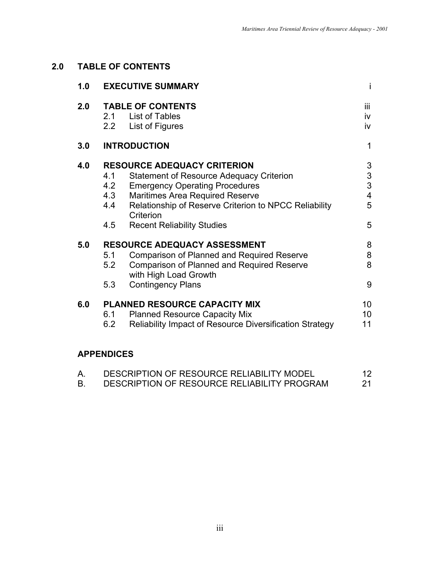## **2.0 TABLE OF CONTENTS**

| 1.0 |                          | <b>EXECUTIVE SUMMARY</b>                                                                                                                                                                                                                       | Ť                                           |
|-----|--------------------------|------------------------------------------------------------------------------------------------------------------------------------------------------------------------------------------------------------------------------------------------|---------------------------------------------|
| 2.0 | 2.2                      | <b>TABLE OF CONTENTS</b><br>2.1 List of Tables<br>List of Figures                                                                                                                                                                              | iii<br>iv<br>iv                             |
| 3.0 |                          | <b>INTRODUCTION</b>                                                                                                                                                                                                                            | 1                                           |
| 4.0 | 4.1<br>4.2<br>4.3<br>4.4 | <b>RESOURCE ADEQUACY CRITERION</b><br><b>Statement of Resource Adequacy Criterion</b><br><b>Emergency Operating Procedures</b><br><b>Maritimes Area Required Reserve</b><br>Relationship of Reserve Criterion to NPCC Reliability<br>Criterion | 3<br>3<br>3<br>$\overline{\mathbf{4}}$<br>5 |
|     | 4.5                      | <b>Recent Reliability Studies</b>                                                                                                                                                                                                              | 5                                           |
| 5.0 | 5.1<br>5.2<br>5.3        | <b>RESOURCE ADEQUACY ASSESSMENT</b><br><b>Comparison of Planned and Required Reserve</b><br><b>Comparison of Planned and Required Reserve</b><br>with High Load Growth<br><b>Contingency Plans</b>                                             | 8<br>8<br>8<br>9                            |
| 6.0 | 6.1<br>6.2               | <b>PLANNED RESOURCE CAPACITY MIX</b><br><b>Planned Resource Capacity Mix</b><br>Reliability Impact of Resource Diversification Strategy                                                                                                        | 10<br>10<br>11                              |
|     |                          |                                                                                                                                                                                                                                                |                                             |

## **APPENDICES**

| DESCRIPTION OF RESOURCE RELIABILITY MODEL   |  |
|---------------------------------------------|--|
| DESCRIPTION OF RESOURCE RELIABILITY PROGRAM |  |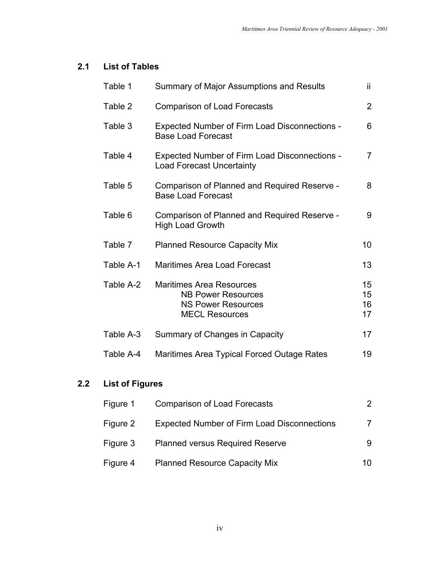## **2.1 List of Tables**

| Table 1   | <b>Summary of Major Assumptions and Results</b>                                                                    | ii.                  |
|-----------|--------------------------------------------------------------------------------------------------------------------|----------------------|
| Table 2   | <b>Comparison of Load Forecasts</b>                                                                                | $\overline{2}$       |
| Table 3   | <b>Expected Number of Firm Load Disconnections -</b><br><b>Base Load Forecast</b>                                  | 6                    |
| Table 4   | <b>Expected Number of Firm Load Disconnections -</b><br><b>Load Forecast Uncertainty</b>                           | $\overline{7}$       |
| Table 5   | Comparison of Planned and Required Reserve -<br><b>Base Load Forecast</b>                                          | 8                    |
| Table 6   | Comparison of Planned and Required Reserve -<br><b>High Load Growth</b>                                            | 9                    |
| Table 7   | <b>Planned Resource Capacity Mix</b>                                                                               | 10                   |
| Table A-1 | <b>Maritimes Area Load Forecast</b>                                                                                | 13                   |
| Table A-2 | <b>Maritimes Area Resources</b><br><b>NB Power Resources</b><br><b>NS Power Resources</b><br><b>MECL Resources</b> | 15<br>15<br>16<br>17 |
| Table A-3 | Summary of Changes in Capacity                                                                                     | 17                   |
| Table A-4 | Maritimes Area Typical Forced Outage Rates                                                                         | 19                   |

## **2.2 List of Figures**

| Figure 1 | <b>Comparison of Load Forecasts</b>                | 2  |
|----------|----------------------------------------------------|----|
| Figure 2 | <b>Expected Number of Firm Load Disconnections</b> |    |
| Figure 3 | <b>Planned versus Required Reserve</b>             | 9  |
| Figure 4 | <b>Planned Resource Capacity Mix</b>               | 10 |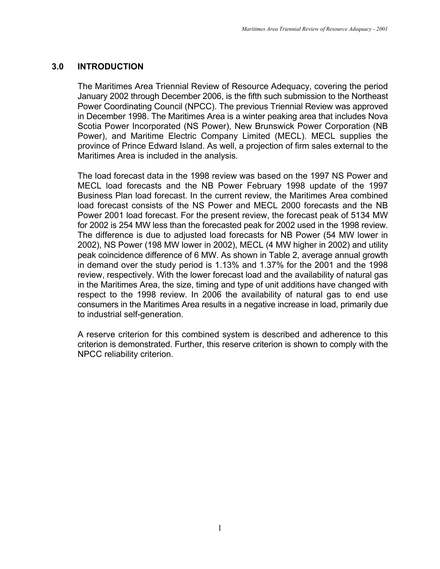## **3.0 INTRODUCTION**

The Maritimes Area Triennial Review of Resource Adequacy, covering the period January 2002 through December 2006, is the fifth such submission to the Northeast Power Coordinating Council (NPCC). The previous Triennial Review was approved in December 1998. The Maritimes Area is a winter peaking area that includes Nova Scotia Power Incorporated (NS Power), New Brunswick Power Corporation (NB Power), and Maritime Electric Company Limited (MECL). MECL supplies the province of Prince Edward Island. As well, a projection of firm sales external to the Maritimes Area is included in the analysis.

The load forecast data in the 1998 review was based on the 1997 NS Power and MECL load forecasts and the NB Power February 1998 update of the 1997 Business Plan load forecast. In the current review, the Maritimes Area combined load forecast consists of the NS Power and MECL 2000 forecasts and the NB Power 2001 load forecast. For the present review, the forecast peak of 5134 MW for 2002 is 254 MW less than the forecasted peak for 2002 used in the 1998 review. The difference is due to adjusted load forecasts for NB Power (54 MW lower in 2002), NS Power (198 MW lower in 2002), MECL (4 MW higher in 2002) and utility peak coincidence difference of 6 MW. As shown in Table 2, average annual growth in demand over the study period is 1.13% and 1.37% for the 2001 and the 1998 review, respectively. With the lower forecast load and the availability of natural gas in the Maritimes Area, the size, timing and type of unit additions have changed with respect to the 1998 review. In 2006 the availability of natural gas to end use consumers in the Maritimes Area results in a negative increase in load, primarily due to industrial self-generation.

A reserve criterion for this combined system is described and adherence to this criterion is demonstrated. Further, this reserve criterion is shown to comply with the NPCC reliability criterion.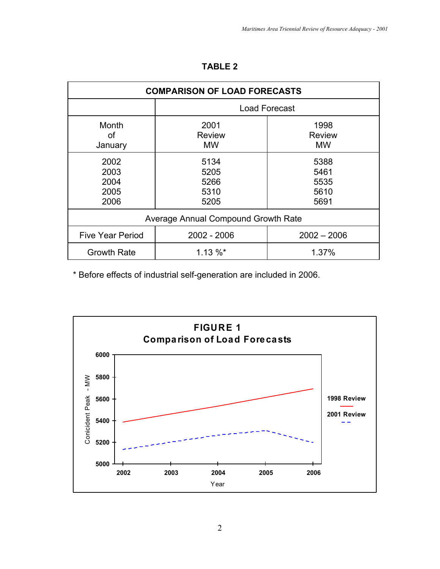| <b>COMPARISON OF LOAD FORECASTS</b>                     |                                      |                                      |  |  |  |
|---------------------------------------------------------|--------------------------------------|--------------------------------------|--|--|--|
|                                                         |                                      | <b>Load Forecast</b>                 |  |  |  |
| Month<br>οf<br>January                                  | 2001<br><b>Review</b><br><b>MW</b>   | 1998<br><b>Review</b><br><b>MW</b>   |  |  |  |
| 2002<br>2003<br>2004<br>2005<br>2006                    | 5134<br>5205<br>5266<br>5310<br>5205 | 5388<br>5461<br>5535<br>5610<br>5691 |  |  |  |
|                                                         | Average Annual Compound Growth Rate  |                                      |  |  |  |
| <b>Five Year Period</b><br>2002 - 2006<br>$2002 - 2006$ |                                      |                                      |  |  |  |
| $1.13 \%$<br><b>Growth Rate</b><br>1.37%                |                                      |                                      |  |  |  |

## **TABLE 2**

\* Before effects of industrial self-generation are included in 2006.

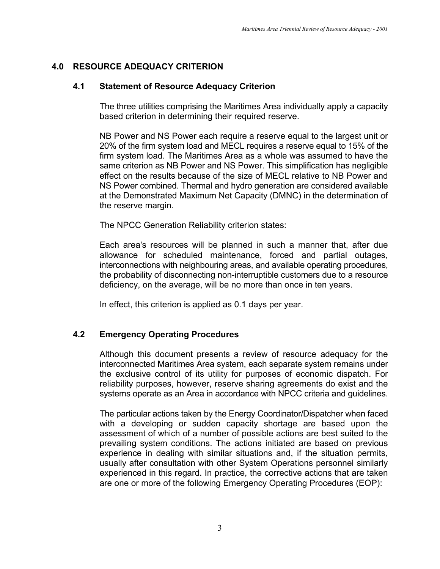## **4.0 RESOURCE ADEQUACY CRITERION**

#### **4.1 Statement of Resource Adequacy Criterion**

The three utilities comprising the Maritimes Area individually apply a capacity based criterion in determining their required reserve.

NB Power and NS Power each require a reserve equal to the largest unit or 20% of the firm system load and MECL requires a reserve equal to 15% of the firm system load. The Maritimes Area as a whole was assumed to have the same criterion as NB Power and NS Power. This simplification has negligible effect on the results because of the size of MECL relative to NB Power and NS Power combined. Thermal and hydro generation are considered available at the Demonstrated Maximum Net Capacity (DMNC) in the determination of the reserve margin.

The NPCC Generation Reliability criterion states:

Each area's resources will be planned in such a manner that, after due allowance for scheduled maintenance, forced and partial outages, interconnections with neighbouring areas, and available operating procedures, the probability of disconnecting non-interruptible customers due to a resource deficiency, on the average, will be no more than once in ten years.

In effect, this criterion is applied as 0.1 days per year.

## **4.2 Emergency Operating Procedures**

Although this document presents a review of resource adequacy for the interconnected Maritimes Area system, each separate system remains under the exclusive control of its utility for purposes of economic dispatch. For reliability purposes, however, reserve sharing agreements do exist and the systems operate as an Area in accordance with NPCC criteria and guidelines.

The particular actions taken by the Energy Coordinator/Dispatcher when faced with a developing or sudden capacity shortage are based upon the assessment of which of a number of possible actions are best suited to the prevailing system conditions. The actions initiated are based on previous experience in dealing with similar situations and, if the situation permits, usually after consultation with other System Operations personnel similarly experienced in this regard. In practice, the corrective actions that are taken are one or more of the following Emergency Operating Procedures (EOP):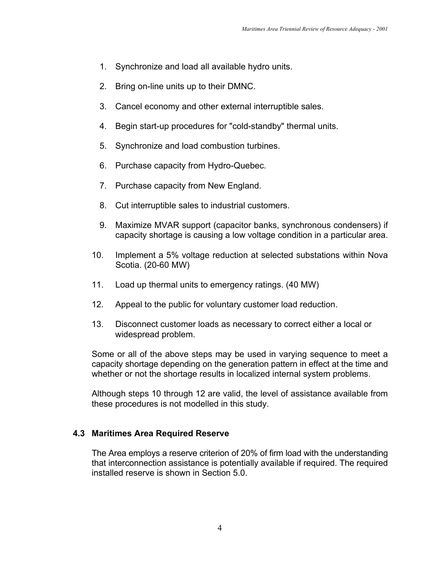- 1. Synchronize and load all available hydro units.
- 2. Bring on-line units up to their DMNC.
- 3. Cancel economy and other external interruptible sales.
- 4. Begin start-up procedures for "cold-standby" thermal units.
- 5. Synchronize and load combustion turbines.
- 6. Purchase capacity from Hydro-Quebec.
- 7. Purchase capacity from New England.
- 8. Cut interruptible sales to industrial customers.
- 9. Maximize MVAR support (capacitor banks, synchronous condensers) if capacity shortage is causing a low voltage condition in a particular area.
- 10. Implement a 5% voltage reduction at selected substations within Nova Scotia. (20-60 MW)
- 11. Load up thermal units to emergency ratings. (40 MW)
- 12. Appeal to the public for voluntary customer load reduction.
- 13. Disconnect customer loads as necessary to correct either a local or widespread problem.

Some or all of the above steps may be used in varying sequence to meet a capacity shortage depending on the generation pattern in effect at the time and whether or not the shortage results in localized internal system problems.

Although steps 10 through 12 are valid, the level of assistance available from these procedures is not modelled in this study.

## **4.3 Maritimes Area Required Reserve**

The Area employs a reserve criterion of 20% of firm load with the understanding that interconnection assistance is potentially available if required. The required installed reserve is shown in Section 5.0.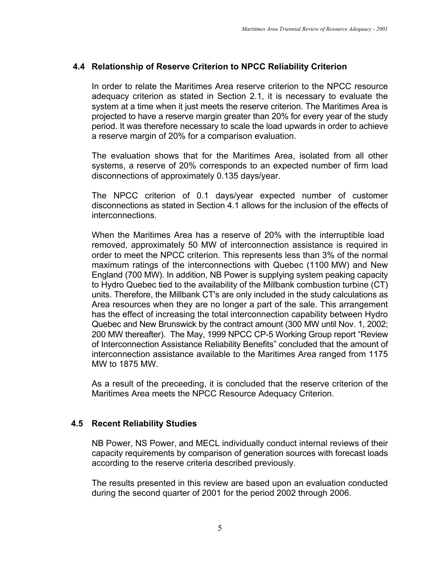## **4.4 Relationship of Reserve Criterion to NPCC Reliability Criterion**

In order to relate the Maritimes Area reserve criterion to the NPCC resource adequacy criterion as stated in Section 2.1, it is necessary to evaluate the system at a time when it just meets the reserve criterion. The Maritimes Area is projected to have a reserve margin greater than 20% for every year of the study period. It was therefore necessary to scale the load upwards in order to achieve a reserve margin of 20% for a comparison evaluation.

The evaluation shows that for the Maritimes Area, isolated from all other systems, a reserve of 20% corresponds to an expected number of firm load disconnections of approximately 0.135 days/year.

The NPCC criterion of 0.1 days/year expected number of customer disconnections as stated in Section 4.1 allows for the inclusion of the effects of interconnections.

When the Maritimes Area has a reserve of 20% with the interruptible load removed, approximately 50 MW of interconnection assistance is required in order to meet the NPCC criterion. This represents less than 3% of the normal maximum ratings of the interconnections with Quebec (1100 MW) and New England (700 MW). In addition, NB Power is supplying system peaking capacity to Hydro Quebec tied to the availability of the Millbank combustion turbine (CT) units. Therefore, the Millbank CT's are only included in the study calculations as Area resources when they are no longer a part of the sale. This arrangement has the effect of increasing the total interconnection capability between Hydro Quebec and New Brunswick by the contract amount (300 MW until Nov. 1, 2002; 200 MW thereafter). The May, 1999 NPCC CP-5 Working Group report "Review of Interconnection Assistance Reliability Benefits" concluded that the amount of interconnection assistance available to the Maritimes Area ranged from 1175 MW to 1875 MW.

As a result of the preceeding, it is concluded that the reserve criterion of the Maritimes Area meets the NPCC Resource Adequacy Criterion.

## **4.5 Recent Reliability Studies**

NB Power, NS Power, and MECL individually conduct internal reviews of their capacity requirements by comparison of generation sources with forecast loads according to the reserve criteria described previously.

The results presented in this review are based upon an evaluation conducted during the second quarter of 2001 for the period 2002 through 2006.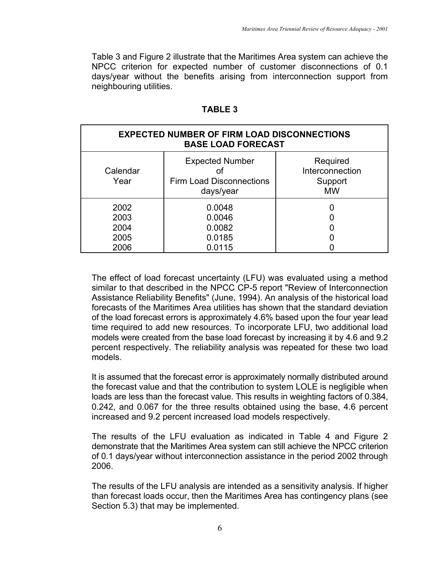Table 3 and Figure 2 illustrate that the Maritimes Area system can achieve the NPCC criterion for expected number of customer disconnections of 0.1 days/year without the benefits arising from interconnection support from neighbouring utilities.

#### **TABLE 3**

| <b>EXPECTED NUMBER OF FIRM LOAD DISCONNECTIONS</b><br><b>BASE LOAD FORECAST</b> |                                                                        |                                                     |  |  |  |
|---------------------------------------------------------------------------------|------------------------------------------------------------------------|-----------------------------------------------------|--|--|--|
| Calendar<br>Year                                                                | <b>Expected Number</b><br><b>Firm Load Disconnections</b><br>days/year | Required<br>Interconnection<br>Support<br><b>MW</b> |  |  |  |
| 2002<br>2003<br>2004<br>2005<br>2006                                            | 0.0048<br>0.0046<br>0.0082<br>0.0185<br>0.0115                         |                                                     |  |  |  |

The effect of load forecast uncertainty (LFU) was evaluated using a method similar to that described in the NPCC CP-5 report "Review of Interconnection Assistance Reliability Benefits" (June, 1994). An analysis of the historical load forecasts of the Maritimes Area utilities has shown that the standard deviation of the load forecast errors is approximately 4.6% based upon the four year lead time required to add new resources. To incorporate LFU, two additional load models were created from the base load forecast by increasing it by 4.6 and 9.2 percent respectively. The reliability analysis was repeated for these two load models.

It is assumed that the forecast error is approximately normally distributed around the forecast value and that the contribution to system LOLE is negligible when loads are less than the forecast value. This results in weighting factors of 0.384, 0.242, and 0.067 for the three results obtained using the base, 4.6 percent increased and 9.2 percent increased load models respectively.

The results of the LFU evaluation as indicated in Table 4 and Figure 2 demonstrate that the Maritimes Area system can still achieve the NPCC criterion of 0.1 days/year without interconnection assistance in the period 2002 through 2006.

The results of the LFU analysis are intended as a sensitivity analysis. If higher than forecast loads occur, then the Maritimes Area has contingency plans (see Section 5.3) that may be implemented.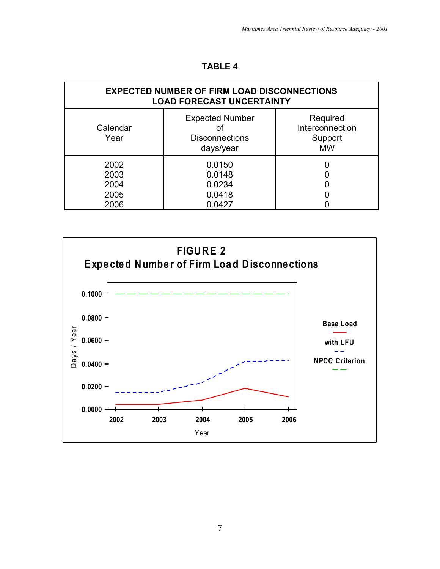| ABL |  |
|-----|--|
|-----|--|

| <b>EXPECTED NUMBER OF FIRM LOAD DISCONNECTIONS</b><br><b>LOAD FORECAST UNCERTAINTY</b> |                                                              |                                                     |  |  |  |
|----------------------------------------------------------------------------------------|--------------------------------------------------------------|-----------------------------------------------------|--|--|--|
| Calendar<br>Year                                                                       | <b>Expected Number</b><br><b>Disconnections</b><br>days/year | Required<br>Interconnection<br>Support<br><b>MW</b> |  |  |  |
| 2002<br>2003<br>2004<br>2005<br>2006                                                   | 0.0150<br>0.0148<br>0.0234<br>0.0418<br>0.0427               |                                                     |  |  |  |

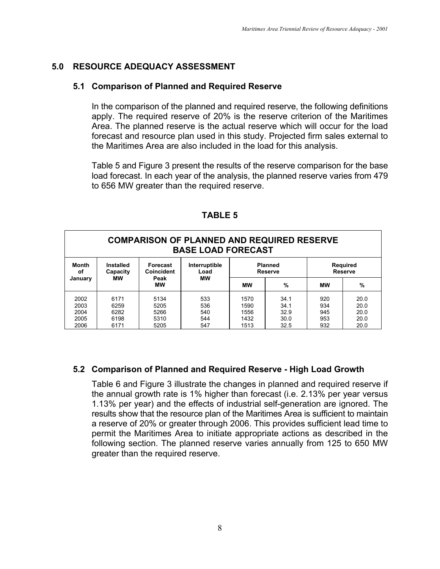## **5.0 RESOURCE ADEQUACY ASSESSMENT**

#### **5.1 Comparison of Planned and Required Reserve**

In the comparison of the planned and required reserve, the following definitions apply. The required reserve of 20% is the reserve criterion of the Maritimes Area. The planned reserve is the actual reserve which will occur for the load forecast and resource plan used in this study. Projected firm sales external to the Maritimes Area are also included in the load for this analysis.

Table 5 and Figure 3 present the results of the reserve comparison for the base load forecast. In each year of the analysis, the planned reserve varies from 479 to 656 MW greater than the required reserve.

| <b>COMPARISON OF PLANNED AND REQUIRED RESERVE</b><br><b>BASE LOAD FORECAST</b>                                                            |                      |                      |                   |                      |                                   |                   |                      |
|-------------------------------------------------------------------------------------------------------------------------------------------|----------------------|----------------------|-------------------|----------------------|-----------------------------------|-------------------|----------------------|
| <b>Month</b><br><b>Planned</b><br><b>Installed</b><br>Interruptible<br>Forecast<br>Coincident<br>Capacity<br><b>Reserve</b><br>οf<br>Load |                      |                      |                   |                      | <b>Required</b><br><b>Reserve</b> |                   |                      |
| January                                                                                                                                   | <b>MW</b>            | Peak<br><b>MW</b>    | <b>MW</b>         | МW                   | %                                 | МW                | %                    |
| 2002<br>2003<br>2004                                                                                                                      | 6171<br>6259<br>6282 | 5134<br>5205<br>5266 | 533<br>536<br>540 | 1570<br>1590<br>1556 | 34.1<br>34.1<br>32.9              | 920<br>934<br>945 | 20.0<br>20.0<br>20.0 |
| 2005<br>2006                                                                                                                              | 6198<br>6171         | 5310<br>5205         | 544<br>547        | 1432<br>1513         | 30.0<br>32.5                      | 953<br>932        | 20.0<br>20.0         |

**TABLE 5**

## **5.2 Comparison of Planned and Required Reserve - High Load Growth**

Table 6 and Figure 3 illustrate the changes in planned and required reserve if the annual growth rate is 1% higher than forecast (i.e. 2.13% per year versus 1.13% per year) and the effects of industrial self-generation are ignored. The results show that the resource plan of the Maritimes Area is sufficient to maintain a reserve of 20% or greater through 2006. This provides sufficient lead time to permit the Maritimes Area to initiate appropriate actions as described in the following section. The planned reserve varies annually from 125 to 650 MW greater than the required reserve.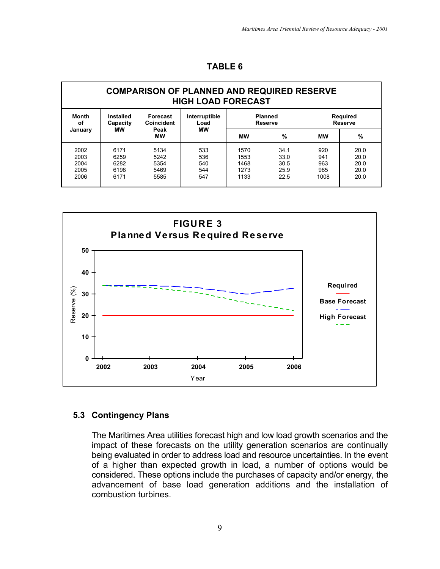|                                                                              | <b>COMPARISON OF PLANNED AND REQUIRED RESERVE</b><br><b>HIGH LOAD FORECAST</b> |                                      |                                 |                                      |                                      |                                  |                                      |
|------------------------------------------------------------------------------|--------------------------------------------------------------------------------|--------------------------------------|---------------------------------|--------------------------------------|--------------------------------------|----------------------------------|--------------------------------------|
| <b>Month</b><br><b>Installed</b><br>Forecast<br>Coincident<br>οf<br>Capacity |                                                                                |                                      | Interruptible<br>Load           | <b>Planned</b><br><b>Reserve</b>     |                                      | Required<br><b>Reserve</b>       |                                      |
| January                                                                      | мw                                                                             | Peak<br><b>MW</b>                    | МW                              | <b>MW</b>                            | %                                    | МW                               | %                                    |
| 2002<br>2003<br>2004<br>2005<br>2006                                         | 6171<br>6259<br>6282<br>6198<br>6171                                           | 5134<br>5242<br>5354<br>5469<br>5585 | 533<br>536<br>540<br>544<br>547 | 1570<br>1553<br>1468<br>1273<br>1133 | 34.1<br>33.0<br>30.5<br>25.9<br>22.5 | 920<br>941<br>963<br>985<br>1008 | 20.0<br>20.0<br>20.0<br>20.0<br>20.0 |



#### **5.3 Contingency Plans**

The Maritimes Area utilities forecast high and low load growth scenarios and the impact of these forecasts on the utility generation scenarios are continually being evaluated in order to address load and resource uncertainties. In the event of a higher than expected growth in load, a number of options would be considered. These options include the purchases of capacity and/or energy, the advancement of base load generation additions and the installation of combustion turbines.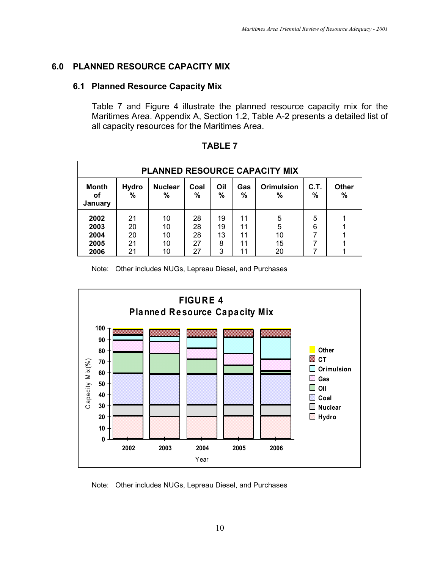#### **6.0 PLANNED RESOURCE CAPACITY MIX**

#### **6.1 Planned Resource Capacity Mix**

Table 7 and Figure 4 illustrate the planned resource capacity mix for the Maritimes Area. Appendix A, Section 1.2, Table A-2 presents a detailed list of all capacity resources for the Maritimes Area.

| <b>PLANNED RESOURCE CAPACITY MIX</b> |                      |                      |                      |                     |                      |                        |           |                   |
|--------------------------------------|----------------------|----------------------|----------------------|---------------------|----------------------|------------------------|-----------|-------------------|
| <b>Month</b><br>οf<br>January        | <b>Hydro</b><br>%    | <b>Nuclear</b><br>%  | Coal<br>%            | Oil<br>$\%$         | Gas<br>%             | <b>Orimulsion</b><br>% | C.T.<br>% | <b>Other</b><br>% |
| 2002<br>2003<br>2004<br>2005         | 21<br>20<br>20<br>21 | 10<br>10<br>10<br>10 | 28<br>28<br>28<br>27 | 19<br>19<br>13<br>8 | 11<br>11<br>11<br>11 | 5<br>5<br>10<br>15     | 5<br>6    |                   |
| 2006                                 | 21                   | 10                   | 27                   | 3                   | 11                   | 20                     |           |                   |

**TABLE 7**

Note: Other includes NUGs, Lepreau Diesel, and Purchases



Note: Other includes NUGs, Lepreau Diesel, and Purchases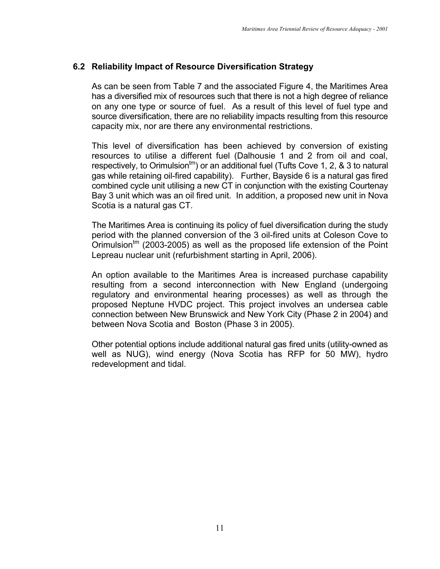## **6.2 Reliability Impact of Resource Diversification Strategy**

As can be seen from Table 7 and the associated Figure 4, the Maritimes Area has a diversified mix of resources such that there is not a high degree of reliance on any one type or source of fuel. As a result of this level of fuel type and source diversification, there are no reliability impacts resulting from this resource capacity mix, nor are there any environmental restrictions.

This level of diversification has been achieved by conversion of existing resources to utilise a different fuel (Dalhousie 1 and 2 from oil and coal, respectively, to Orimulsion<sup>tm</sup>) or an additional fuel (Tufts Cove 1, 2, & 3 to natural gas while retaining oil-fired capability). Further, Bayside 6 is a natural gas fired combined cycle unit utilising a new CT in conjunction with the existing Courtenay Bay 3 unit which was an oil fired unit. In addition, a proposed new unit in Nova Scotia is a natural gas CT.

The Maritimes Area is continuing its policy of fuel diversification during the study period with the planned conversion of the 3 oil-fired units at Coleson Cove to Orimulsion<sup>tm</sup> (2003-2005) as well as the proposed life extension of the Point Lepreau nuclear unit (refurbishment starting in April, 2006).

An option available to the Maritimes Area is increased purchase capability resulting from a second interconnection with New England (undergoing regulatory and environmental hearing processes) as well as through the proposed Neptune HVDC project. This project involves an undersea cable connection between New Brunswick and New York City (Phase 2 in 2004) and between Nova Scotia and Boston (Phase 3 in 2005).

Other potential options include additional natural gas fired units (utility-owned as well as NUG), wind energy (Nova Scotia has RFP for 50 MW), hydro redevelopment and tidal.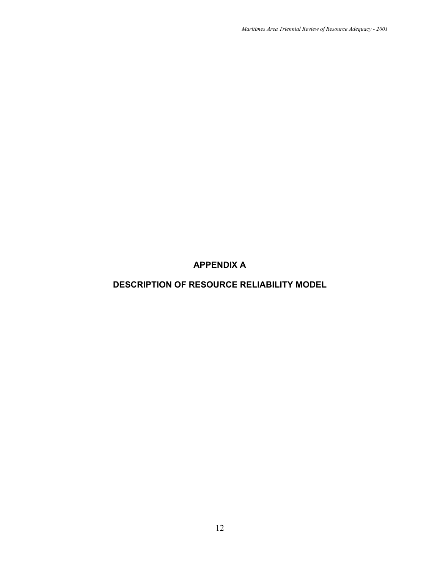## **APPENDIX A**

## **DESCRIPTION OF RESOURCE RELIABILITY MODEL**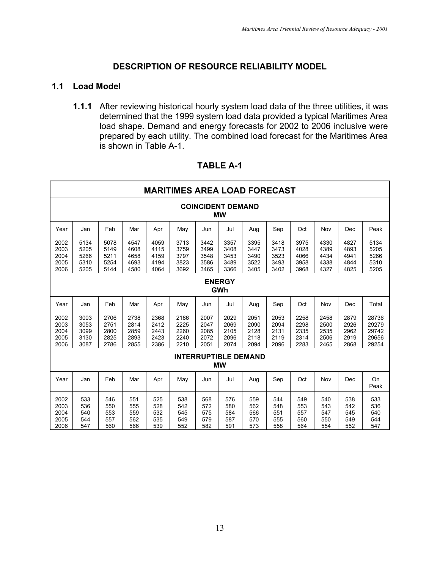#### **DESCRIPTION OF RESOURCE RELIABILITY MODEL**

#### **1.1 Load Model**

**1.1.1** After reviewing historical hourly system load data of the three utilities, it was determined that the 1999 system load data provided a typical Maritimes Area load shape. Demand and energy forecasts for 2002 to 2006 inclusive were prepared by each utility. The combined load forecast for the Maritimes Area is shown in Table A-1.

|                                      | <b>MARITIMES AREA LOAD FORECAST</b>      |                                      |                                      |                                      |                                      |                                      |                                      |                                      |                                      |                                      |                                      |                                      |                                           |
|--------------------------------------|------------------------------------------|--------------------------------------|--------------------------------------|--------------------------------------|--------------------------------------|--------------------------------------|--------------------------------------|--------------------------------------|--------------------------------------|--------------------------------------|--------------------------------------|--------------------------------------|-------------------------------------------|
|                                      | <b>COINCIDENT DEMAND</b><br><b>MW</b>    |                                      |                                      |                                      |                                      |                                      |                                      |                                      |                                      |                                      |                                      |                                      |                                           |
| Year                                 | Jan                                      | Feb                                  | Mar                                  | Apr                                  | May                                  | Jun                                  | Jul                                  | Aug                                  | Sep                                  | Oct                                  | Nov                                  | Dec                                  | Peak                                      |
| 2002<br>2003<br>2004<br>2005<br>2006 | 5134<br>5205<br>5266<br>5310<br>5205     | 5078<br>5149<br>5211<br>5254<br>5144 | 4547<br>4608<br>4658<br>4693<br>4580 | 4059<br>4115<br>4159<br>4194<br>4064 | 3713<br>3759<br>3797<br>3823<br>3692 | 3442<br>3499<br>3548<br>3586<br>3465 | 3357<br>3408<br>3453<br>3489<br>3366 | 3395<br>3447<br>3490<br>3522<br>3405 | 3418<br>3473<br>3523<br>3493<br>3402 | 3975<br>4028<br>4066<br>3958<br>3968 | 4330<br>4389<br>4434<br>4338<br>4327 | 4827<br>4893<br>4941<br>4844<br>4825 | 5134<br>5205<br>5266<br>5310<br>5205      |
|                                      | <b>ENERGY</b><br><b>GWh</b>              |                                      |                                      |                                      |                                      |                                      |                                      |                                      |                                      |                                      |                                      |                                      |                                           |
| Year                                 | Jan                                      | Feb                                  | Mar                                  | Apr                                  | May                                  | Jun                                  | Jul                                  | Aug                                  | Sep                                  | Oct                                  | Nov                                  | Dec                                  | Total                                     |
| 2002<br>2003<br>2004<br>2005<br>2006 | 3003<br>3053<br>3099<br>3130<br>3087     | 2706<br>2751<br>2800<br>2825<br>2786 | 2738<br>2814<br>2859<br>2893<br>2855 | 2368<br>2412<br>2443<br>2423<br>2386 | 2186<br>2225<br>2260<br>2240<br>2210 | 2007<br>2047<br>2085<br>2072<br>2051 | 2029<br>2069<br>2105<br>2096<br>2074 | 2051<br>2090<br>2128<br>2118<br>2094 | 2053<br>2094<br>2131<br>2119<br>2096 | 2258<br>2298<br>2335<br>2314<br>2283 | 2458<br>2500<br>2535<br>2506<br>2465 | 2879<br>2926<br>2962<br>2919<br>2868 | 28736<br>29279<br>29742<br>29656<br>29254 |
|                                      | <b>INTERRUPTIBLE DEMAND</b><br><b>MW</b> |                                      |                                      |                                      |                                      |                                      |                                      |                                      |                                      |                                      |                                      |                                      |                                           |
| Year                                 | Jan                                      | Feb                                  | Mar                                  | Apr                                  | May                                  | Jun                                  | Jul                                  | Aug                                  | Sep                                  | Oct                                  | Nov                                  | Dec                                  | On<br>Peak                                |
| 2002<br>2003<br>2004<br>2005<br>2006 | 533<br>536<br>540<br>544<br>547          | 546<br>550<br>553<br>557<br>560      | 551<br>555<br>559<br>562<br>566      | 525<br>528<br>532<br>535<br>539      | 538<br>542<br>545<br>549<br>552      | 568<br>572<br>575<br>579<br>582      | 576<br>580<br>584<br>587<br>591      | 559<br>562<br>566<br>570<br>573      | 544<br>548<br>551<br>555<br>558      | 549<br>553<br>557<br>560<br>564      | 540<br>543<br>547<br>550<br>554      | 538<br>542<br>545<br>549<br>552      | 533<br>536<br>540<br>544<br>547           |

#### **TABLE A-1**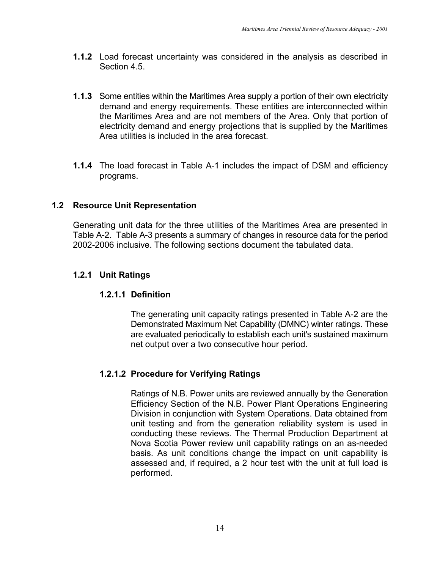- **1.1.2** Load forecast uncertainty was considered in the analysis as described in Section 4.5.
- **1.1.3** Some entities within the Maritimes Area supply a portion of their own electricity demand and energy requirements. These entities are interconnected within the Maritimes Area and are not members of the Area. Only that portion of electricity demand and energy projections that is supplied by the Maritimes Area utilities is included in the area forecast.
- **1.1.4** The load forecast in Table A-1 includes the impact of DSM and efficiency programs.

#### **1.2 Resource Unit Representation**

Generating unit data for the three utilities of the Maritimes Area are presented in Table A-2. Table A-3 presents a summary of changes in resource data for the period 2002-2006 inclusive. The following sections document the tabulated data.

#### **1.2.1 Unit Ratings**

#### **1.2.1.1 Definition**

The generating unit capacity ratings presented in Table A-2 are the Demonstrated Maximum Net Capability (DMNC) winter ratings. These are evaluated periodically to establish each unit's sustained maximum net output over a two consecutive hour period.

## **1.2.1.2 Procedure for Verifying Ratings**

Ratings of N.B. Power units are reviewed annually by the Generation Efficiency Section of the N.B. Power Plant Operations Engineering Division in conjunction with System Operations. Data obtained from unit testing and from the generation reliability system is used in conducting these reviews. The Thermal Production Department at Nova Scotia Power review unit capability ratings on an as-needed basis. As unit conditions change the impact on unit capability is assessed and, if required, a 2 hour test with the unit at full load is performed.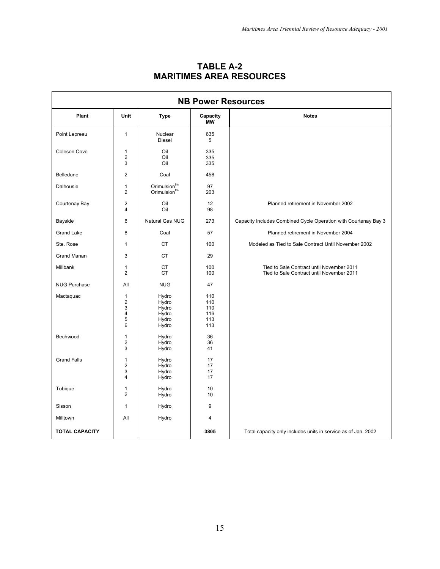| <b>NB Power Resources</b> |                                                                 |                                                      |                                        |                                                                                        |  |  |  |
|---------------------------|-----------------------------------------------------------------|------------------------------------------------------|----------------------------------------|----------------------------------------------------------------------------------------|--|--|--|
| Plant                     | Unit                                                            | <b>Type</b>                                          | Capacity<br><b>MW</b>                  | <b>Notes</b>                                                                           |  |  |  |
| Point Lepreau             | $\mathbf{1}$                                                    | Nuclear<br><b>Diesel</b>                             | 635<br>5                               |                                                                                        |  |  |  |
| Coleson Cove              | $\mathbf{1}$<br>$\overline{2}$<br>3                             | Oil<br>Oil<br>Oil                                    | 335<br>335<br>335                      |                                                                                        |  |  |  |
| Belledune                 | $\overline{2}$                                                  | Coal                                                 | 458                                    |                                                                                        |  |  |  |
| Dalhousie                 | 1<br>2                                                          | Orimulsion <sup>tm</sup><br>Orimulsion <sup>tm</sup> | 97<br>203                              |                                                                                        |  |  |  |
| Courtenay Bay             | $\overline{\mathbf{c}}$<br>4                                    | Oil<br>Oil                                           | 12<br>98                               | Planned retirement in November 2002                                                    |  |  |  |
| Bayside                   | 6                                                               | Natural Gas NUG                                      | 273                                    | Capacity Includes Combined Cycle Operation with Courtenay Bay 3                        |  |  |  |
| <b>Grand Lake</b>         | 8                                                               | Coal                                                 | 57                                     | Planned retirement in November 2004                                                    |  |  |  |
| Ste. Rose                 | 1                                                               | <b>CT</b>                                            | 100                                    | Modeled as Tied to Sale Contract Until November 2002                                   |  |  |  |
| <b>Grand Manan</b>        | 3                                                               | <b>CT</b>                                            | 29                                     |                                                                                        |  |  |  |
| Millbank                  | 1<br>$\overline{2}$                                             | <b>CT</b><br><b>CT</b>                               | 100<br>100                             | Tied to Sale Contract until November 2011<br>Tied to Sale Contract until November 2011 |  |  |  |
| <b>NUG Purchase</b>       | All                                                             | <b>NUG</b>                                           | 47                                     |                                                                                        |  |  |  |
| Mactaquac                 | $\mathbf{1}$<br>$\overline{c}$<br>3<br>$\overline{4}$<br>5<br>6 | Hydro<br>Hydro<br>Hydro<br>Hydro<br>Hydro<br>Hydro   | 110<br>110<br>110<br>116<br>113<br>113 |                                                                                        |  |  |  |
| Bechwood                  | 1<br>$\overline{\mathbf{c}}$<br>3                               | Hydro<br>Hydro<br>Hydro                              | 36<br>36<br>41                         |                                                                                        |  |  |  |
| <b>Grand Falls</b>        | 1<br>$\overline{\mathbf{c}}$<br>3<br>4                          | Hydro<br>Hydro<br>Hydro<br>Hydro                     | 17<br>17<br>17<br>17                   |                                                                                        |  |  |  |
| Tobique                   | $\mathbf{1}$<br>$\overline{2}$                                  | Hydro<br>Hydro                                       | 10<br>10                               |                                                                                        |  |  |  |
| Sisson                    | $\mathbf{1}$                                                    | Hydro                                                | 9                                      |                                                                                        |  |  |  |
| Milltown                  | All                                                             | Hydro                                                | 4                                      |                                                                                        |  |  |  |
| <b>TOTAL CAPACITY</b>     |                                                                 |                                                      | 3805                                   | Total capacity only includes units in service as of Jan. 2002                          |  |  |  |

## **TABLE A-2 MARITIMES AREA RESOURCES**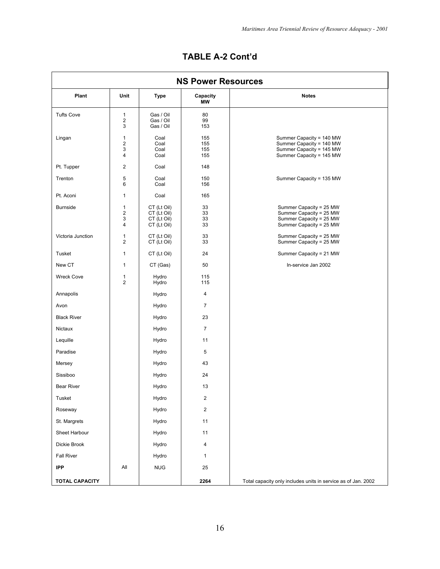| <b>NS Power Resources</b> |                                                   |                                                          |                          |                                                                                                              |  |  |  |
|---------------------------|---------------------------------------------------|----------------------------------------------------------|--------------------------|--------------------------------------------------------------------------------------------------------------|--|--|--|
| Plant                     | Unit                                              | <b>Type</b>                                              | Capacity<br><b>MW</b>    | <b>Notes</b>                                                                                                 |  |  |  |
| <b>Tufts Cove</b>         | $\mathbf{1}$<br>$\overline{\mathbf{c}}$<br>3      | Gas / Oil<br>Gas / Oil<br>Gas / Oil                      | 80<br>99<br>153          |                                                                                                              |  |  |  |
| Lingan                    | $\mathbf{1}$<br>$\sqrt{2}$<br>3<br>$\overline{4}$ | Coal<br>Coal<br>Coal<br>Coal                             | 155<br>155<br>155<br>155 | Summer Capacity = 140 MW<br>Summer Capacity = 140 MW<br>Summer Capacity = 145 MW<br>Summer Capacity = 145 MW |  |  |  |
| Pt. Tupper                | $\overline{2}$                                    | Coal                                                     | 148                      |                                                                                                              |  |  |  |
| Trenton                   | 5<br>6                                            | Coal<br>Coal                                             | 150<br>156               | Summer Capacity = 135 MW                                                                                     |  |  |  |
| Pt. Aconi                 | $\mathbf{1}$                                      | Coal                                                     | 165                      |                                                                                                              |  |  |  |
| <b>Burnside</b>           | $\mathbf{1}$<br>$\overline{2}$<br>3<br>4          | CT (Lt Oil)<br>CT (Lt Oil)<br>CT (Lt Oil)<br>CT (Lt Oil) | 33<br>33<br>33<br>33     | Summer Capacity = 25 MW<br>Summer Capacity = 25 MW<br>Summer Capacity = 25 MW<br>Summer Capacity = 25 MW     |  |  |  |
| Victoria Junction         | $\mathbf{1}$<br>$\overline{2}$                    | CT (Lt Oil)<br>CT (Lt Oil)                               | 33<br>33                 | Summer Capacity = 25 MW<br>Summer Capacity = 25 MW                                                           |  |  |  |
| Tusket                    | $\mathbf{1}$                                      | CT (Lt Oil)                                              | 24                       | Summer Capacity = 21 MW                                                                                      |  |  |  |
| New CT                    | $\mathbf{1}$                                      | CT (Gas)                                                 | 50                       | In-service Jan 2002                                                                                          |  |  |  |
| <b>Wreck Cove</b>         | $\mathbf{1}$<br>$\overline{2}$                    | Hydro<br>Hydro                                           | 115<br>115               |                                                                                                              |  |  |  |
| Annapolis                 |                                                   | Hydro                                                    | 4                        |                                                                                                              |  |  |  |
| Avon                      |                                                   | Hydro                                                    | 7                        |                                                                                                              |  |  |  |
| <b>Black River</b>        |                                                   | Hydro                                                    | 23                       |                                                                                                              |  |  |  |
| Nictaux                   |                                                   | Hydro                                                    | $\overline{7}$           |                                                                                                              |  |  |  |
| Lequille                  |                                                   | Hydro                                                    | 11                       |                                                                                                              |  |  |  |
| Paradise                  |                                                   | Hydro                                                    | 5                        |                                                                                                              |  |  |  |
| Mersey                    |                                                   | Hydro                                                    | 43                       |                                                                                                              |  |  |  |
| Sissiboo                  |                                                   | Hydro                                                    | 24                       |                                                                                                              |  |  |  |
| <b>Bear River</b>         |                                                   | Hydro                                                    | 13                       |                                                                                                              |  |  |  |
| Tusket                    |                                                   | Hydro                                                    | $\overline{c}$           |                                                                                                              |  |  |  |
| Roseway                   |                                                   | Hydro                                                    | $\overline{c}$           |                                                                                                              |  |  |  |
| St. Margrets              |                                                   | Hydro                                                    | 11                       |                                                                                                              |  |  |  |
| Sheet Harbour             |                                                   | Hydro                                                    | 11                       |                                                                                                              |  |  |  |
| Dickie Brook              |                                                   | Hydro                                                    | 4                        |                                                                                                              |  |  |  |
| <b>Fall River</b>         |                                                   | Hydro                                                    | 1                        |                                                                                                              |  |  |  |
| <b>IPP</b>                | All                                               | <b>NUG</b>                                               | 25                       |                                                                                                              |  |  |  |
| <b>TOTAL CAPACITY</b>     |                                                   |                                                          | 2264                     | Total capacity only includes units in service as of Jan. 2002                                                |  |  |  |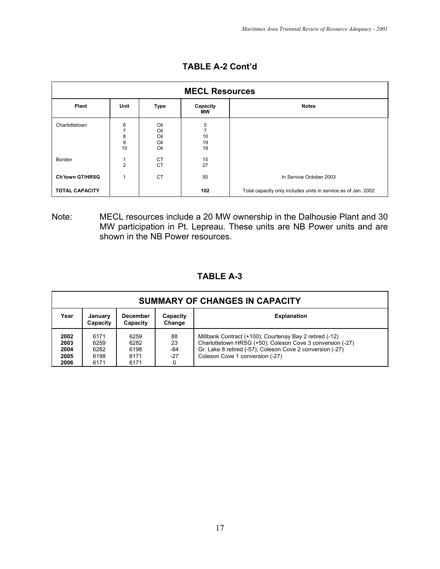| <b>MECL Resources</b>  |                        |                                 |                                       |                                                               |  |  |  |
|------------------------|------------------------|---------------------------------|---------------------------------------|---------------------------------------------------------------|--|--|--|
| <b>Plant</b>           | Unit                   | <b>Type</b>                     | Capacity<br><b>MW</b>                 | <b>Notes</b>                                                  |  |  |  |
| Charlottetown          | 6<br>7<br>8<br>9<br>10 | Oil<br>Oil<br>Oil<br>Oil<br>Oil | 5<br>$\overline{7}$<br>10<br>19<br>19 |                                                               |  |  |  |
| Borden                 | 1<br>$\overline{2}$    | <b>CT</b><br><b>CT</b>          | 15<br>27                              |                                                               |  |  |  |
| <b>Ch'town GT/HRSG</b> | 1                      | <b>CT</b>                       | 50                                    | In Service October 2003                                       |  |  |  |
| <b>TOTAL CAPACITY</b>  |                        |                                 | 102                                   | Total capacity only includes units in service as of Jan. 2002 |  |  |  |

**TABLE A-2 Cont'd**

Note: MECL resources include a 20 MW ownership in the Dalhousie Plant and 30 MW participation in Pt. Lepreau. These units are NB Power units and are shown in the NB Power resources.

## **TABLE A-3**

| <b>SUMMARY OF CHANGES IN CAPACITY</b> |                                      |                                      |                          |                                                                                                                                                                                                                      |  |  |  |  |
|---------------------------------------|--------------------------------------|--------------------------------------|--------------------------|----------------------------------------------------------------------------------------------------------------------------------------------------------------------------------------------------------------------|--|--|--|--|
| Year                                  | January<br>Capacity                  | <b>December</b><br>Capacity          | Capacity<br>Change       | <b>Explanation</b>                                                                                                                                                                                                   |  |  |  |  |
| 2002<br>2003<br>2004<br>2005<br>2006  | 6171<br>6259<br>6282<br>6198<br>6171 | 6259<br>6282<br>6198<br>6171<br>6171 | 88<br>23<br>-84<br>$-27$ | Millbank Contract (+100); Courtenay Bay 2 retired (-12)<br>Charlottetown HRSG (+50); Coleson Cove 3 conversion (-27)<br>Gr. Lake 8 retired (-57); Coleson Cove 2 conversion (-27)<br>Coleson Cove 1 conversion (-27) |  |  |  |  |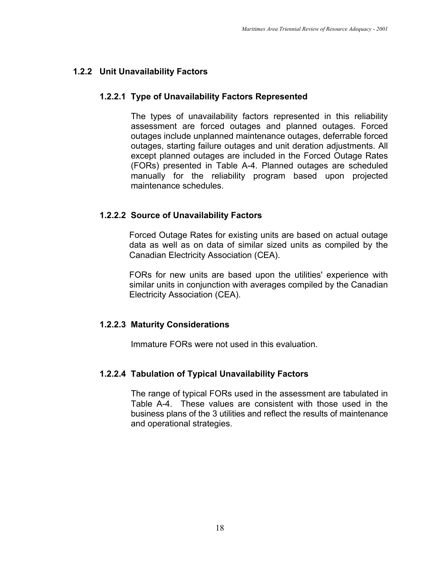## **1.2.2 Unit Unavailability Factors**

## **1.2.2.1 Type of Unavailability Factors Represented**

The types of unavailability factors represented in this reliability assessment are forced outages and planned outages. Forced outages include unplanned maintenance outages, deferrable forced outages, starting failure outages and unit deration adjustments. All except planned outages are included in the Forced Outage Rates (FORs) presented in Table A-4. Planned outages are scheduled manually for the reliability program based upon projected maintenance schedules.

## **1.2.2.2 Source of Unavailability Factors**

Forced Outage Rates for existing units are based on actual outage data as well as on data of similar sized units as compiled by the Canadian Electricity Association (CEA).

FORs for new units are based upon the utilities' experience with similar units in conjunction with averages compiled by the Canadian Electricity Association (CEA).

## **1.2.2.3 Maturity Considerations**

Immature FORs were not used in this evaluation.

## **1.2.2.4 Tabulation of Typical Unavailability Factors**

The range of typical FORs used in the assessment are tabulated in Table A-4. These values are consistent with those used in the business plans of the 3 utilities and reflect the results of maintenance and operational strategies.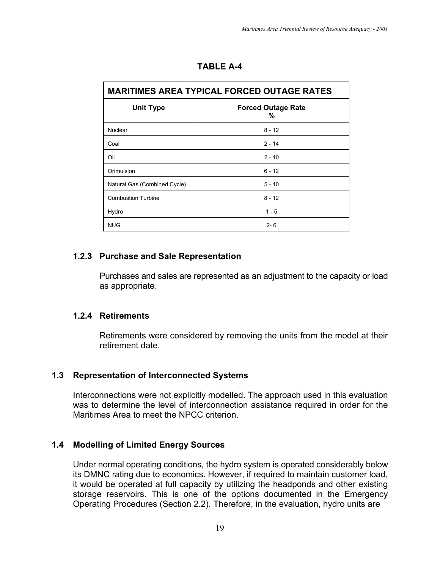| <b>MARITIMES AREA TYPICAL FORCED OUTAGE RATES</b> |                                |  |  |  |  |
|---------------------------------------------------|--------------------------------|--|--|--|--|
| <b>Unit Type</b>                                  | <b>Forced Outage Rate</b><br>℅ |  |  |  |  |
| Nuclear                                           | $8 - 12$                       |  |  |  |  |
| Coal                                              | $2 - 14$                       |  |  |  |  |
| Oil                                               | $2 - 10$                       |  |  |  |  |
| Orimulsion                                        | $6 - 12$                       |  |  |  |  |
| Natural Gas (Combined Cycle)                      | $5 - 10$                       |  |  |  |  |
| <b>Combustion Turbine</b>                         | $8 - 12$                       |  |  |  |  |
| Hydro                                             | $1 - 5$                        |  |  |  |  |
| <b>NUG</b>                                        | $2 - 6$                        |  |  |  |  |

## **TABLE A-4**

## **1.2.3 Purchase and Sale Representation**

Purchases and sales are represented as an adjustment to the capacity or load as appropriate.

#### **1.2.4 Retirements**

Retirements were considered by removing the units from the model at their retirement date.

## **1.3 Representation of Interconnected Systems**

Interconnections were not explicitly modelled. The approach used in this evaluation was to determine the level of interconnection assistance required in order for the Maritimes Area to meet the NPCC criterion.

## **1.4 Modelling of Limited Energy Sources**

Under normal operating conditions, the hydro system is operated considerably below its DMNC rating due to economics. However, if required to maintain customer load, it would be operated at full capacity by utilizing the headponds and other existing storage reservoirs. This is one of the options documented in the Emergency Operating Procedures (Section 2.2). Therefore, in the evaluation, hydro units are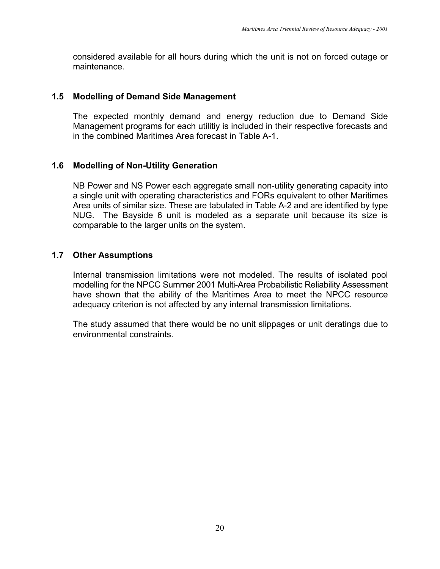considered available for all hours during which the unit is not on forced outage or maintenance.

#### **1.5 Modelling of Demand Side Management**

The expected monthly demand and energy reduction due to Demand Side Management programs for each utilitiy is included in their respective forecasts and in the combined Maritimes Area forecast in Table A-1.

## **1.6 Modelling of Non-Utility Generation**

NB Power and NS Power each aggregate small non-utility generating capacity into a single unit with operating characteristics and FORs equivalent to other Maritimes Area units of similar size. These are tabulated in Table A-2 and are identified by type NUG. The Bayside 6 unit is modeled as a separate unit because its size is comparable to the larger units on the system.

#### **1.7 Other Assumptions**

Internal transmission limitations were not modeled. The results of isolated pool modelling for the NPCC Summer 2001 Multi-Area Probabilistic Reliability Assessment have shown that the ability of the Maritimes Area to meet the NPCC resource adequacy criterion is not affected by any internal transmission limitations.

The study assumed that there would be no unit slippages or unit deratings due to environmental constraints.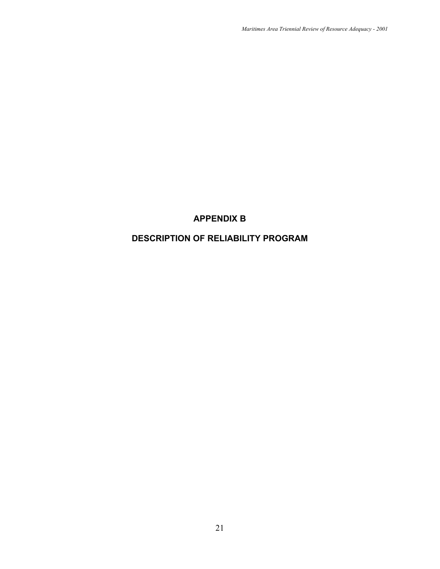## **APPENDIX B**

## **DESCRIPTION OF RELIABILITY PROGRAM**